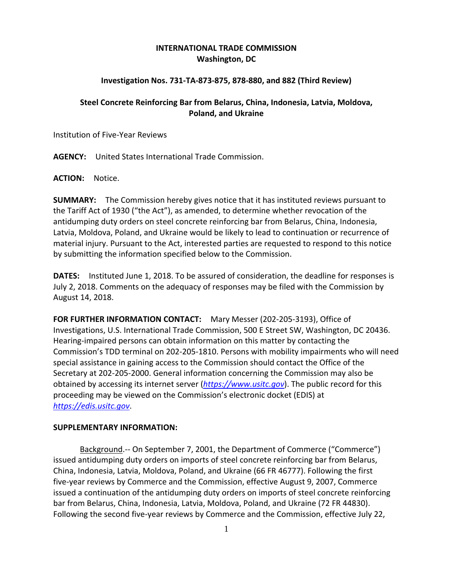## **INTERNATIONAL TRADE COMMISSION Washington, DC**

## **Investigation Nos. 731‐TA‐873‐875, 878‐880, and 882 (Third Review)**

## **Steel Concrete Reinforcing Bar from Belarus, China, Indonesia, Latvia, Moldova, Poland, and Ukraine**

Institution of Five‐Year Reviews

**AGENCY:** United States International Trade Commission.

**ACTION:** Notice.

**SUMMARY:** The Commission hereby gives notice that it has instituted reviews pursuant to the Tariff Act of 1930 ("the Act"), as amended, to determine whether revocation of the antidumping duty orders on steel concrete reinforcing bar from Belarus, China, Indonesia, Latvia, Moldova, Poland, and Ukraine would be likely to lead to continuation or recurrence of material injury. Pursuant to the Act, interested parties are requested to respond to this notice by submitting the information specified below to the Commission.

**DATES:** Instituted June 1, 2018. To be assured of consideration, the deadline for responses is July 2, 2018. Comments on the adequacy of responses may be filed with the Commission by August 14, 2018.

**FOR FURTHER INFORMATION CONTACT:** Mary Messer (202‐205‐3193), Office of Investigations, U.S. International Trade Commission, 500 E Street SW, Washington, DC 20436. Hearing‐impaired persons can obtain information on this matter by contacting the Commission's TDD terminal on 202‐205‐1810. Persons with mobility impairments who will need special assistance in gaining access to the Commission should contact the Office of the Secretary at 202‐205‐2000. General information concerning the Commission may also be obtained by accessing its internet server (*https://www.usitc.gov*). The public record for this proceeding may be viewed on the Commission's electronic docket (EDIS) at *https://edis.usitc.gov*.

## **SUPPLEMENTARY INFORMATION:**

Background.‐‐ On September 7, 2001, the Department of Commerce ("Commerce") issued antidumping duty orders on imports of steel concrete reinforcing bar from Belarus, China, Indonesia, Latvia, Moldova, Poland, and Ukraine (66 FR 46777). Following the first five‐year reviews by Commerce and the Commission, effective August 9, 2007, Commerce issued a continuation of the antidumping duty orders on imports of steel concrete reinforcing bar from Belarus, China, Indonesia, Latvia, Moldova, Poland, and Ukraine (72 FR 44830). Following the second five-year reviews by Commerce and the Commission, effective July 22,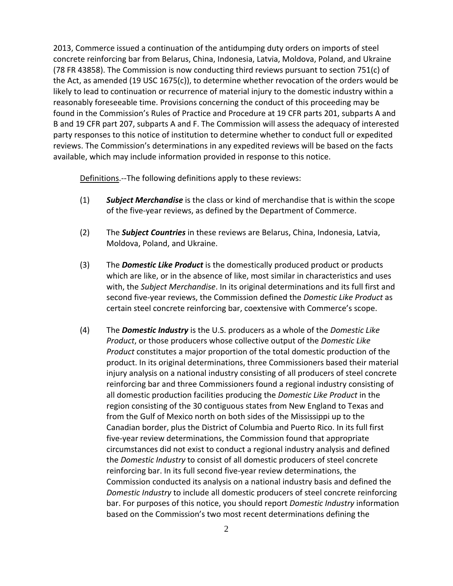2013, Commerce issued a continuation of the antidumping duty orders on imports of steel concrete reinforcing bar from Belarus, China, Indonesia, Latvia, Moldova, Poland, and Ukraine (78 FR 43858). The Commission is now conducting third reviews pursuant to section 751(c) of the Act, as amended (19 USC 1675(c)), to determine whether revocation of the orders would be likely to lead to continuation or recurrence of material injury to the domestic industry within a reasonably foreseeable time. Provisions concerning the conduct of this proceeding may be found in the Commission's Rules of Practice and Procedure at 19 CFR parts 201, subparts A and B and 19 CFR part 207, subparts A and F. The Commission will assess the adequacy of interested party responses to this notice of institution to determine whether to conduct full or expedited reviews. The Commission's determinations in any expedited reviews will be based on the facts available, which may include information provided in response to this notice.

Definitions.--The following definitions apply to these reviews:

- (1) *Subject Merchandise* is the class or kind of merchandise that is within the scope of the five‐year reviews, as defined by the Department of Commerce.
- (2) The *Subject Countries* in these reviews are Belarus, China, Indonesia, Latvia, Moldova, Poland, and Ukraine.
- (3) The *Domestic Like Product* is the domestically produced product or products which are like, or in the absence of like, most similar in characteristics and uses with, the *Subject Merchandise*. In its original determinations and its full first and second five‐year reviews, the Commission defined the *Domestic Like Product* as certain steel concrete reinforcing bar, coextensive with Commerce's scope.
- (4) The *Domestic Industry* is the U.S. producers as a whole of the *Domestic Like Product*, or those producers whose collective output of the *Domestic Like Product* constitutes a major proportion of the total domestic production of the product. In its original determinations, three Commissioners based their material injury analysis on a national industry consisting of all producers of steel concrete reinforcing bar and three Commissioners found a regional industry consisting of all domestic production facilities producing the *Domestic Like Product* in the region consisting of the 30 contiguous states from New England to Texas and from the Gulf of Mexico north on both sides of the Mississippi up to the Canadian border, plus the District of Columbia and Puerto Rico. In its full first five‐year review determinations, the Commission found that appropriate circumstances did not exist to conduct a regional industry analysis and defined the *Domestic Industry* to consist of all domestic producers of steel concrete reinforcing bar. In its full second five‐year review determinations, the Commission conducted its analysis on a national industry basis and defined the *Domestic Industry* to include all domestic producers of steel concrete reinforcing bar. For purposes of this notice, you should report *Domestic Industry* information based on the Commission's two most recent determinations defining the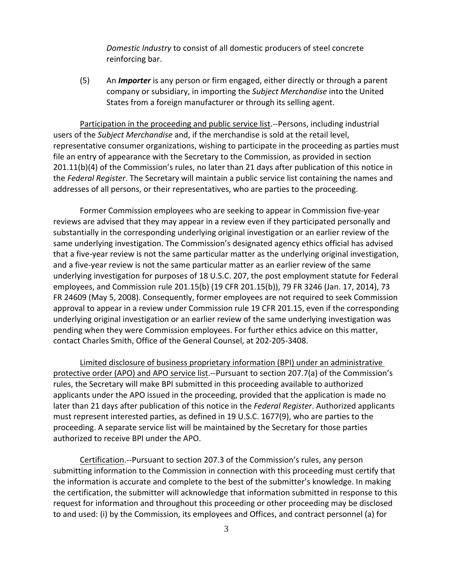*Domestic Industry* to consist of all domestic producers of steel concrete reinforcing bar.

(5) An *Importer* is any person or firm engaged, either directly or through a parent company or subsidiary, in importing the *Subject Merchandise* into the United States from a foreign manufacturer or through its selling agent.

Participation in the proceeding and public service list.‐‐Persons, including industrial users of the *Subject Merchandise* and, if the merchandise is sold at the retail level, representative consumer organizations, wishing to participate in the proceeding as parties must file an entry of appearance with the Secretary to the Commission, as provided in section 201.11(b)(4) of the Commission's rules, no later than 21 days after publication of this notice in the *Federal Register*. The Secretary will maintain a public service list containing the names and addresses of all persons, or their representatives, who are parties to the proceeding.

Former Commission employees who are seeking to appear in Commission five‐year reviews are advised that they may appear in a review even if they participated personally and substantially in the corresponding underlying original investigation or an earlier review of the same underlying investigation. The Commission's designated agency ethics official has advised that a five‐year review is not the same particular matter as the underlying original investigation, and a five‐year review is not the same particular matter as an earlier review of the same underlying investigation for purposes of 18 U.S.C. 207, the post employment statute for Federal employees, and Commission rule 201.15(b) (19 CFR 201.15(b)), 79 FR 3246 (Jan. 17, 2014), 73 FR 24609 (May 5, 2008). Consequently, former employees are not required to seek Commission approval to appear in a review under Commission rule 19 CFR 201.15, even if the corresponding underlying original investigation or an earlier review of the same underlying investigation was pending when they were Commission employees. For further ethics advice on this matter, contact Charles Smith, Office of the General Counsel, at 202‐205‐3408.

Limited disclosure of business proprietary information (BPI) under an administrative protective order (APO) and APO service list.--Pursuant to section 207.7(a) of the Commission's rules, the Secretary will make BPI submitted in this proceeding available to authorized applicants under the APO issued in the proceeding, provided that the application is made no later than 21 days after publication of this notice in the *Federal Register*. Authorized applicants must represent interested parties, as defined in 19 U.S.C. 1677(9), who are parties to the proceeding. A separate service list will be maintained by the Secretary for those parties authorized to receive BPI under the APO.

Certification.‐‐Pursuant to section 207.3 of the Commission's rules, any person submitting information to the Commission in connection with this proceeding must certify that the information is accurate and complete to the best of the submitter's knowledge. In making the certification, the submitter will acknowledge that information submitted in response to this request for information and throughout this proceeding or other proceeding may be disclosed to and used: (i) by the Commission, its employees and Offices, and contract personnel (a) for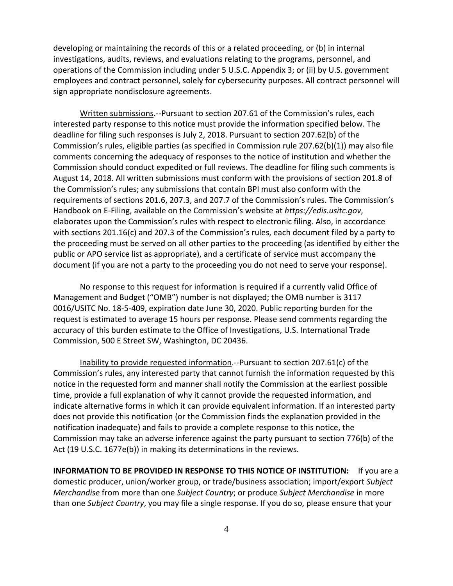developing or maintaining the records of this or a related proceeding, or (b) in internal investigations, audits, reviews, and evaluations relating to the programs, personnel, and operations of the Commission including under 5 U.S.C. Appendix 3; or (ii) by U.S. government employees and contract personnel, solely for cybersecurity purposes. All contract personnel will sign appropriate nondisclosure agreements.

Written submissions.‐‐Pursuant to section 207.61 of the Commission's rules, each interested party response to this notice must provide the information specified below. The deadline for filing such responses is July 2, 2018. Pursuant to section 207.62(b) of the Commission's rules, eligible parties (as specified in Commission rule 207.62(b)(1)) may also file comments concerning the adequacy of responses to the notice of institution and whether the Commission should conduct expedited or full reviews. The deadline for filing such comments is August 14, 2018. All written submissions must conform with the provisions of section 201.8 of the Commission's rules; any submissions that contain BPI must also conform with the requirements of sections 201.6, 207.3, and 207.7 of the Commission's rules. The Commission's Handbook on E‐Filing, available on the Commission's website at *https://edis.usitc.gov*, elaborates upon the Commission's rules with respect to electronic filing. Also, in accordance with sections 201.16(c) and 207.3 of the Commission's rules, each document filed by a party to the proceeding must be served on all other parties to the proceeding (as identified by either the public or APO service list as appropriate), and a certificate of service must accompany the document (if you are not a party to the proceeding you do not need to serve your response).

No response to this request for information is required if a currently valid Office of Management and Budget ("OMB") number is not displayed; the OMB number is 3117 0016/USITC No. 18‐5‐409, expiration date June 30, 2020. Public reporting burden for the request is estimated to average 15 hours per response. Please send comments regarding the accuracy of this burden estimate to the Office of Investigations, U.S. International Trade Commission, 500 E Street SW, Washington, DC 20436.

Inability to provide requested information.‐‐Pursuant to section 207.61(c) of the Commission's rules, any interested party that cannot furnish the information requested by this notice in the requested form and manner shall notify the Commission at the earliest possible time, provide a full explanation of why it cannot provide the requested information, and indicate alternative forms in which it can provide equivalent information. If an interested party does not provide this notification (or the Commission finds the explanation provided in the notification inadequate) and fails to provide a complete response to this notice, the Commission may take an adverse inference against the party pursuant to section 776(b) of the Act (19 U.S.C. 1677e(b)) in making its determinations in the reviews.

**INFORMATION TO BE PROVIDED IN RESPONSE TO THIS NOTICE OF INSTITUTION:** If you are a domestic producer, union/worker group, or trade/business association; import/export *Subject Merchandise* from more than one *Subject Country*; or produce *Subject Merchandise* in more than one *Subject Country*, you may file a single response. If you do so, please ensure that your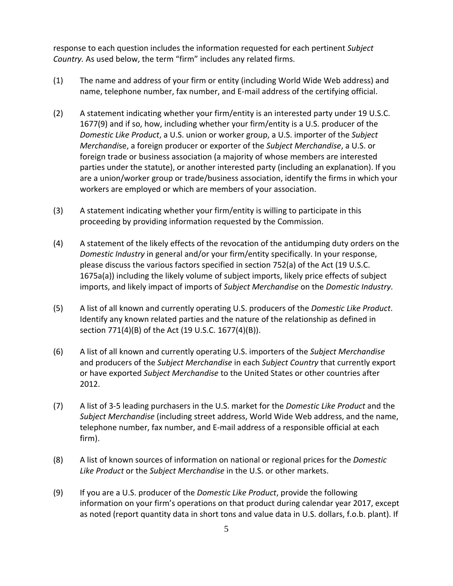response to each question includes the information requested for each pertinent *Subject Country.* As used below, the term "firm" includes any related firms.

- (1) The name and address of your firm or entity (including World Wide Web address) and name, telephone number, fax number, and E‐mail address of the certifying official.
- (2) A statement indicating whether your firm/entity is an interested party under 19 U.S.C. 1677(9) and if so, how, including whether your firm/entity is a U.S. producer of the *Domestic Like Product*, a U.S. union or worker group, a U.S. importer of the *Subject Merchandi*se, a foreign producer or exporter of the *Subject Merchandise*, a U.S. or foreign trade or business association (a majority of whose members are interested parties under the statute), or another interested party (including an explanation). If you are a union/worker group or trade/business association, identify the firms in which your workers are employed or which are members of your association.
- (3) A statement indicating whether your firm/entity is willing to participate in this proceeding by providing information requested by the Commission.
- (4) A statement of the likely effects of the revocation of the antidumping duty orders on the *Domestic Industry* in general and/or your firm/entity specifically. In your response, please discuss the various factors specified in section 752(a) of the Act (19 U.S.C. 1675a(a)) including the likely volume of subject imports, likely price effects of subject imports, and likely impact of imports of *Subject Merchandise* on the *Domestic Industry*.
- (5) A list of all known and currently operating U.S. producers of the *Domestic Like Product*. Identify any known related parties and the nature of the relationship as defined in section 771(4)(B) of the Act (19 U.S.C. 1677(4)(B)).
- (6) A list of all known and currently operating U.S. importers of the *Subject Merchandise* and producers of the *Subject Merchandise* in each *Subject Country* that currently export or have exported *Subject Merchandise* to the United States or other countries after 2012.
- (7) A list of 3‐5 leading purchasers in the U.S. market for the *Domestic Like Product* and the *Subject Merchandise* (including street address, World Wide Web address, and the name, telephone number, fax number, and E‐mail address of a responsible official at each firm).
- (8) A list of known sources of information on national or regional prices for the *Domestic Like Product* or the *Subject Merchandise* in the U.S. or other markets.
- (9) If you are a U.S. producer of the *Domestic Like Product*, provide the following information on your firm's operations on that product during calendar year 2017, except as noted (report quantity data in short tons and value data in U.S. dollars, f.o.b. plant). If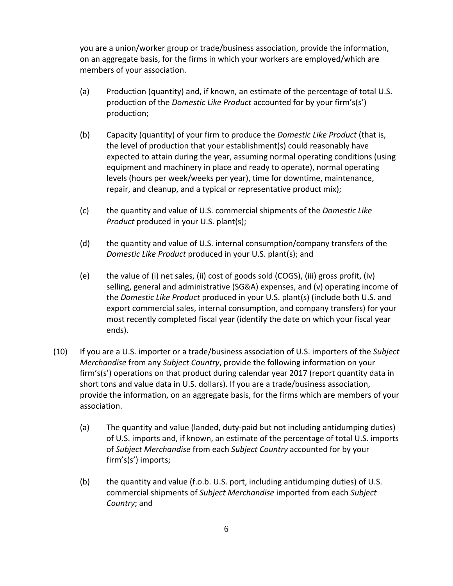you are a union/worker group or trade/business association, provide the information, on an aggregate basis, for the firms in which your workers are employed/which are members of your association.

- (a) Production (quantity) and, if known, an estimate of the percentage of total U.S. production of the *Domestic Like Product* accounted for by your firm's(s') production;
- (b) Capacity (quantity) of your firm to produce the *Domestic Like Product* (that is, the level of production that your establishment(s) could reasonably have expected to attain during the year, assuming normal operating conditions (using equipment and machinery in place and ready to operate), normal operating levels (hours per week/weeks per year), time for downtime, maintenance, repair, and cleanup, and a typical or representative product mix);
- (c) the quantity and value of U.S. commercial shipments of the *Domestic Like Product* produced in your U.S. plant(s);
- (d) the quantity and value of U.S. internal consumption/company transfers of the *Domestic Like Product* produced in your U.S. plant(s); and
- (e) the value of (i) net sales, (ii) cost of goods sold (COGS), (iii) gross profit, (iv) selling, general and administrative (SG&A) expenses, and (v) operating income of the *Domestic Like Product* produced in your U.S. plant(s) (include both U.S. and export commercial sales, internal consumption, and company transfers) for your most recently completed fiscal year (identify the date on which your fiscal year ends).
- (10) If you are a U.S. importer or a trade/business association of U.S. importers of the *Subject Merchandise* from any *Subject Country*, provide the following information on your firm's(s') operations on that product during calendar year 2017 (report quantity data in short tons and value data in U.S. dollars). If you are a trade/business association, provide the information, on an aggregate basis, for the firms which are members of your association.
	- (a) The quantity and value (landed, duty‐paid but not including antidumping duties) of U.S. imports and, if known, an estimate of the percentage of total U.S. imports of *Subject Merchandise* from each *Subject Country* accounted for by your firm's(s') imports;
	- (b) the quantity and value (f.o.b. U.S. port, including antidumping duties) of U.S. commercial shipments of *Subject Merchandise* imported from each *Subject Country*; and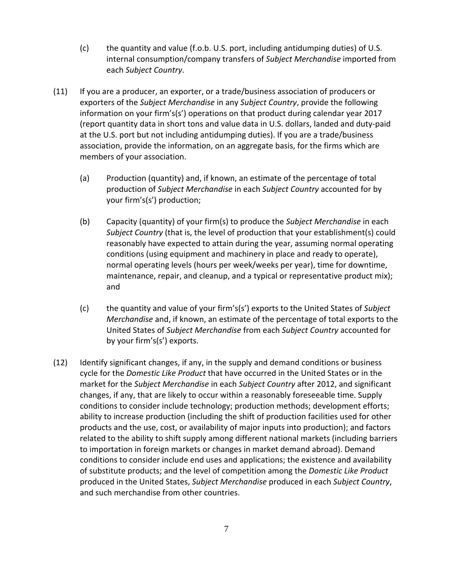- (c) the quantity and value (f.o.b. U.S. port, including antidumping duties) of U.S. internal consumption/company transfers of *Subject Merchandise* imported from each *Subject Country*.
- (11) If you are a producer, an exporter, or a trade/business association of producers or exporters of the *Subject Merchandise* in any *Subject Country*, provide the following information on your firm's(s') operations on that product during calendar year 2017 (report quantity data in short tons and value data in U.S. dollars, landed and duty‐paid at the U.S. port but not including antidumping duties). If you are a trade/business association, provide the information, on an aggregate basis, for the firms which are members of your association.
	- (a) Production (quantity) and, if known, an estimate of the percentage of total production of *Subject Merchandise* in each *Subject Country* accounted for by your firm's(s') production;
	- (b) Capacity (quantity) of your firm(s) to produce the *Subject Merchandise* in each *Subject Country* (that is, the level of production that your establishment(s) could reasonably have expected to attain during the year, assuming normal operating conditions (using equipment and machinery in place and ready to operate), normal operating levels (hours per week/weeks per year), time for downtime, maintenance, repair, and cleanup, and a typical or representative product mix); and
	- (c) the quantity and value of your firm's(s') exports to the United States of *Subject Merchandise* and, if known, an estimate of the percentage of total exports to the United States of *Subject Merchandise* from each *Subject Country* accounted for by your firm's(s') exports.
- (12) Identify significant changes, if any, in the supply and demand conditions or business cycle for the *Domestic Like Product* that have occurred in the United States or in the market for the *Subject Merchandise* in each *Subject Country* after 2012, and significant changes, if any, that are likely to occur within a reasonably foreseeable time. Supply conditions to consider include technology; production methods; development efforts; ability to increase production (including the shift of production facilities used for other products and the use, cost, or availability of major inputs into production); and factors related to the ability to shift supply among different national markets (including barriers to importation in foreign markets or changes in market demand abroad). Demand conditions to consider include end uses and applications; the existence and availability of substitute products; and the level of competition among the *Domestic Like Product* produced in the United States, *Subject Merchandise* produced in each *Subject Country*, and such merchandise from other countries.